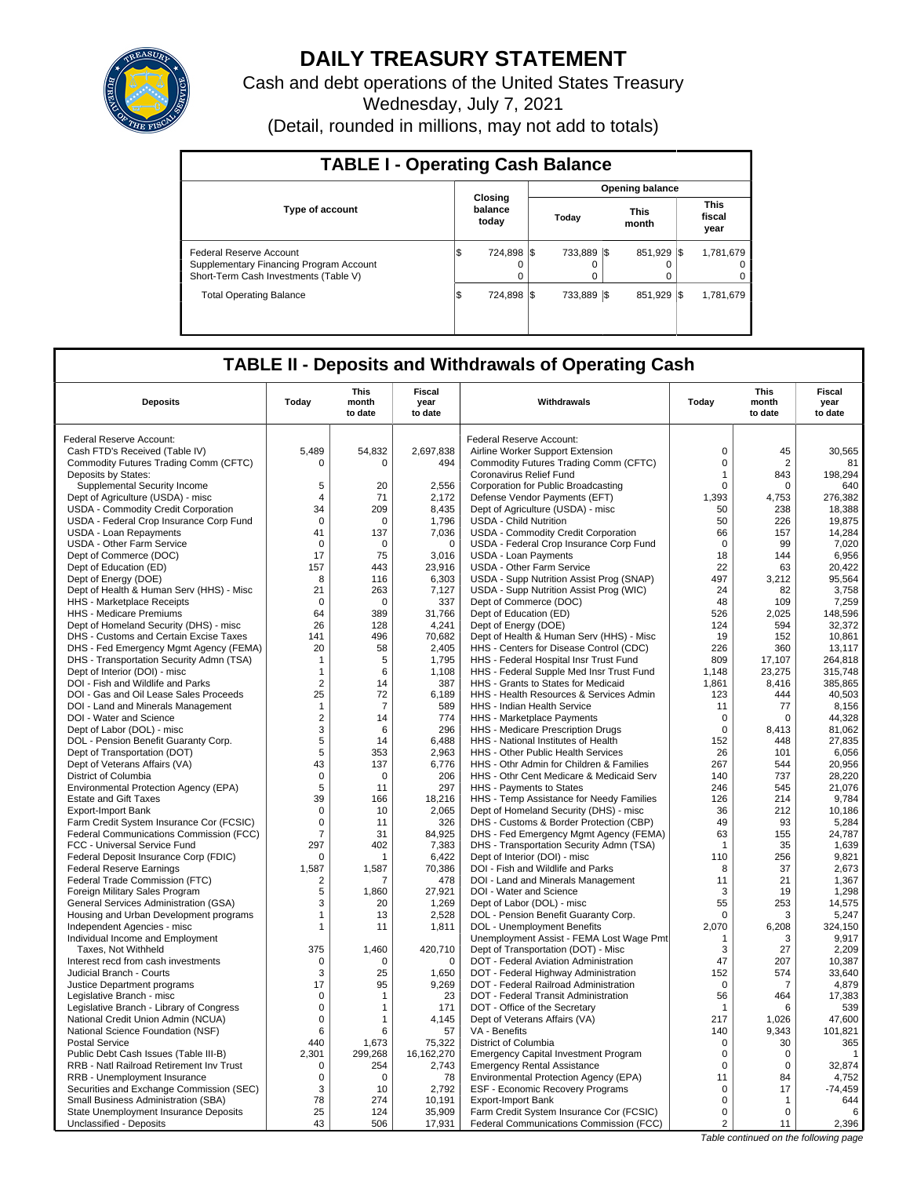

## **DAILY TREASURY STATEMENT**

Cash and debt operations of the United States Treasury

Wednesday, July 7, 2021

(Detail, rounded in millions, may not add to totals)

| <b>TABLE I - Operating Cash Balance</b>                                                                     |     |                             |  |                  |  |                        |      |                               |
|-------------------------------------------------------------------------------------------------------------|-----|-----------------------------|--|------------------|--|------------------------|------|-------------------------------|
|                                                                                                             |     |                             |  |                  |  | <b>Opening balance</b> |      |                               |
| <b>Type of account</b>                                                                                      |     | Closing<br>balance<br>today |  | Today            |  | <b>This</b><br>month   |      | <b>This</b><br>fiscal<br>year |
| Federal Reserve Account<br>Supplementary Financing Program Account<br>Short-Term Cash Investments (Table V) | IS  | 724.898 \\$<br>$\Omega$     |  | 733.889 \\$<br>0 |  | 851,929                | -1\$ | 1,781,679<br>0<br>0           |
| <b>Total Operating Balance</b>                                                                              | l\$ | 724.898 \\$                 |  | 733.889 \\$      |  | 851,929                | -1\$ | 1,781,679                     |

## **TABLE II - Deposits and Withdrawals of Operating Cash**

| <b>Deposits</b>                                                                     | Today             | This<br>month<br>to date | <b>Fiscal</b><br>year<br>to date | Withdrawals                                                                       | Today          | <b>This</b><br>month<br>to date | <b>Fiscal</b><br>year<br>to date |
|-------------------------------------------------------------------------------------|-------------------|--------------------------|----------------------------------|-----------------------------------------------------------------------------------|----------------|---------------------------------|----------------------------------|
| Federal Reserve Account:                                                            |                   |                          |                                  | Federal Reserve Account:                                                          |                |                                 |                                  |
| Cash FTD's Received (Table IV)                                                      | 5,489             | 54,832                   | 2,697,838                        | Airline Worker Support Extension                                                  | $\Omega$       | 45                              | 30,565                           |
| Commodity Futures Trading Comm (CFTC)                                               | $\mathbf 0$       | $\Omega$                 | 494                              | Commodity Futures Trading Comm (CFTC)                                             | $\mathbf 0$    | $\overline{2}$                  | 81                               |
| Deposits by States:                                                                 |                   |                          |                                  | Coronavirus Relief Fund                                                           | $\mathbf{1}$   | 843                             | 198,294                          |
| Supplemental Security Income                                                        | 5                 | 20                       | 2.556                            | Corporation for Public Broadcasting                                               | $\mathbf 0$    | $\mathbf 0$                     | 640                              |
| Dept of Agriculture (USDA) - misc                                                   | $\overline{4}$    | 71                       | 2,172                            | Defense Vendor Payments (EFT)                                                     | 1,393          | 4,753                           | 276,382                          |
| USDA - Commodity Credit Corporation                                                 | 34                | 209                      | 8,435                            | Dept of Agriculture (USDA) - misc                                                 | 50             | 238                             | 18,388                           |
| USDA - Federal Crop Insurance Corp Fund                                             | $\mathbf 0$       | $\mathbf 0$              | 1,796                            | <b>USDA - Child Nutrition</b>                                                     | 50             | 226                             | 19,875                           |
| USDA - Loan Repayments                                                              | 41                | 137                      | 7,036                            | USDA - Commodity Credit Corporation                                               | 66             | 157                             | 14,284                           |
| <b>USDA - Other Farm Service</b>                                                    | $\mathbf 0$       | $\mathbf 0$              | $\mathbf 0$                      | USDA - Federal Crop Insurance Corp Fund                                           | $\mathbf 0$    | 99                              | 7,020                            |
| Dept of Commerce (DOC)                                                              | 17                | 75                       | 3,016                            | USDA - Loan Payments                                                              | 18             | 144                             | 6,956                            |
| Dept of Education (ED)                                                              | 157               | 443                      | 23,916                           | <b>USDA - Other Farm Service</b>                                                  | 22             | 63                              | 20,422                           |
| Dept of Energy (DOE)                                                                | 8                 | 116                      | 6,303                            | USDA - Supp Nutrition Assist Prog (SNAP)                                          | 497            | 3,212                           | 95,564                           |
| Dept of Health & Human Serv (HHS) - Misc                                            | 21                | 263                      | 7.127                            | USDA - Supp Nutrition Assist Prog (WIC)                                           | 24             | 82                              | 3.758                            |
| HHS - Marketplace Receipts                                                          | 0                 | $\mathbf 0$              | 337                              | Dept of Commerce (DOC)                                                            | 48             | 109                             | 7,259                            |
| HHS - Medicare Premiums                                                             | 64                | 389                      | 31,766                           | Dept of Education (ED)                                                            | 526            | 2,025                           | 148.596                          |
| Dept of Homeland Security (DHS) - misc                                              | 26                | 128                      | 4,241                            | Dept of Energy (DOE)                                                              | 124            | 594                             | 32,372                           |
| DHS - Customs and Certain Excise Taxes                                              | 141               | 496                      | 70,682                           | Dept of Health & Human Serv (HHS) - Misc                                          | 19             | 152                             | 10,861                           |
| DHS - Fed Emergency Mgmt Agency (FEMA)                                              | 20                | 58                       | 2.405                            | HHS - Centers for Disease Control (CDC)                                           | 226            | 360                             | 13.117                           |
| DHS - Transportation Security Admn (TSA)                                            | -1                | 5                        | 1,795                            | HHS - Federal Hospital Insr Trust Fund                                            | 809            | 17,107                          | 264,818                          |
| Dept of Interior (DOI) - misc                                                       | $\mathbf{1}$      | 6                        | 1,108                            | HHS - Federal Supple Med Insr Trust Fund                                          | 1.148          | 23.275                          | 315.748                          |
| DOI - Fish and Wildlife and Parks                                                   | $\overline{2}$    | 14                       | 387                              | HHS - Grants to States for Medicaid                                               | 1,861          | 8,416                           | 385,865                          |
| DOI - Gas and Oil Lease Sales Proceeds                                              | 25                | 72                       | 6,189                            | HHS - Health Resources & Services Admin                                           | 123            | 444                             | 40,503                           |
| DOI - Land and Minerals Management                                                  | $\mathbf{1}$      | $\overline{7}$           | 589                              | HHS - Indian Health Service                                                       | 11             | 77                              | 8,156                            |
| DOI - Water and Science                                                             | $\overline{c}$    | 14                       | 774                              | HHS - Marketplace Payments                                                        | $\mathbf 0$    | $\Omega$                        | 44,328                           |
| Dept of Labor (DOL) - misc                                                          | 3                 | 6                        | 296                              | HHS - Medicare Prescription Drugs                                                 | $\mathbf 0$    | 8,413                           | 81,062                           |
| DOL - Pension Benefit Guaranty Corp.                                                | 5                 | 14                       | 6,488                            | HHS - National Institutes of Health                                               | 152            | 448                             | 27,835                           |
| Dept of Transportation (DOT)                                                        | 5                 | 353                      | 2.963                            | <b>HHS - Other Public Health Services</b>                                         | 26             | 101                             | 6.056                            |
| Dept of Veterans Affairs (VA)                                                       | 43                | 137                      | 6,776                            | HHS - Othr Admin for Children & Families                                          | 267            | 544                             | 20,956                           |
| District of Columbia                                                                | 0                 | 0                        | 206                              | HHS - Othr Cent Medicare & Medicaid Serv                                          | 140            | 737                             | 28,220                           |
| Environmental Protection Agency (EPA)                                               | 5                 | 11                       | 297                              | HHS - Payments to States                                                          | 246            | 545                             | 21,076                           |
| <b>Estate and Gift Taxes</b>                                                        | 39<br>$\mathbf 0$ | 166                      | 18,216                           | HHS - Temp Assistance for Needy Families                                          | 126<br>36      | 214<br>212                      | 9,784                            |
| Export-Import Bank                                                                  | $\mathbf 0$       | 10<br>11                 | 2,065<br>326                     | Dept of Homeland Security (DHS) - misc                                            | 49             | 93                              | 10,186                           |
| Farm Credit System Insurance Cor (FCSIC)<br>Federal Communications Commission (FCC) | $\overline{7}$    | 31                       | 84,925                           | DHS - Customs & Border Protection (CBP)<br>DHS - Fed Emergency Mgmt Agency (FEMA) | 63             | 155                             | 5,284<br>24,787                  |
| FCC - Universal Service Fund                                                        | 297               | 402                      | 7,383                            | DHS - Transportation Security Admn (TSA)                                          | $\mathbf{1}$   | 35                              | 1,639                            |
| Federal Deposit Insurance Corp (FDIC)                                               | $\Omega$          |                          | 6.422                            | Dept of Interior (DOI) - misc                                                     | 110            | 256                             | 9.821                            |
| <b>Federal Reserve Earnings</b>                                                     | 1,587             | 1,587                    | 70,386                           | DOI - Fish and Wildlife and Parks                                                 | 8              | 37                              | 2,673                            |
| Federal Trade Commission (FTC)                                                      | 2                 | 7                        | 478                              | DOI - Land and Minerals Management                                                | 11             | 21                              | 1,367                            |
| Foreign Military Sales Program                                                      | 5                 | 1,860                    | 27,921                           | DOI - Water and Science                                                           | 3              | 19                              | 1,298                            |
| General Services Administration (GSA)                                               | 3                 | 20                       | 1,269                            | Dept of Labor (DOL) - misc                                                        | 55             | 253                             | 14,575                           |
| Housing and Urban Development programs                                              | 1                 | 13                       | 2,528                            | DOL - Pension Benefit Guaranty Corp.                                              | 0              | 3                               | 5,247                            |
| Independent Agencies - misc                                                         | $\mathbf{1}$      | 11                       | 1,811                            | DOL - Unemployment Benefits                                                       | 2,070          | 6,208                           | 324,150                          |
| Individual Income and Employment                                                    |                   |                          |                                  | Unemployment Assist - FEMA Lost Wage Pmt                                          | 1              | 3                               | 9.917                            |
| Taxes, Not Withheld                                                                 | 375               | 1,460                    | 420,710                          | Dept of Transportation (DOT) - Misc                                               | 3              | 27                              | 2,209                            |
| Interest recd from cash investments                                                 | 0                 | $\Omega$                 | $\mathbf 0$                      | DOT - Federal Aviation Administration                                             | 47             | 207                             | 10.387                           |
| Judicial Branch - Courts                                                            | 3                 | 25                       | 1,650                            | DOT - Federal Highway Administration                                              | 152            | 574                             | 33,640                           |
| Justice Department programs                                                         | 17                | 95                       | 9,269                            | DOT - Federal Railroad Administration                                             | $\mathbf 0$    | 7                               | 4,879                            |
| Legislative Branch - misc                                                           | 0                 | 1                        | 23                               | DOT - Federal Transit Administration                                              | 56             | 464                             | 17,383                           |
| Legislative Branch - Library of Congress                                            | $\mathbf 0$       | 1                        | 171                              | DOT - Office of the Secretary                                                     | $\mathbf{1}$   | 6                               | 539                              |
| National Credit Union Admin (NCUA)                                                  | $\mathbf 0$       | 1                        | 4,145                            | Dept of Veterans Affairs (VA)                                                     | 217            | 1,026                           | 47,600                           |
| National Science Foundation (NSF)                                                   | 6                 | 6                        | 57                               | VA - Benefits                                                                     | 140            | 9,343                           | 101,821                          |
| <b>Postal Service</b>                                                               | 440               | 1,673                    | 75,322                           | District of Columbia                                                              | 0              | 30                              | 365                              |
| Public Debt Cash Issues (Table III-B)                                               | 2,301             | 299,268                  | 16,162,270                       | <b>Emergency Capital Investment Program</b>                                       | $\mathsf 0$    | $\mathbf 0$                     | $\mathbf{1}$                     |
| RRB - Natl Railroad Retirement Inv Trust                                            | $\Omega$          | 254                      | 2,743                            | <b>Emergency Rental Assistance</b>                                                | $\Omega$       | $\Omega$                        | 32,874                           |
| RRB - Unemployment Insurance                                                        | $\mathbf 0$       | $\mathbf 0$              | 78                               | Environmental Protection Agency (EPA)                                             | 11             | 84                              | 4,752                            |
| Securities and Exchange Commission (SEC)                                            | 3                 | 10                       | 2,792                            | ESF - Economic Recovery Programs                                                  | $\mathbf 0$    | 17                              | $-74,459$                        |
| Small Business Administration (SBA)                                                 | 78                | 274                      | 10,191                           | <b>Export-Import Bank</b>                                                         | $\mathbf 0$    | 1                               | 644                              |
| State Unemployment Insurance Deposits                                               | 25                | 124                      | 35,909                           | Farm Credit System Insurance Cor (FCSIC)                                          | $\mathbf 0$    | $\Omega$                        | 6                                |
| Unclassified - Deposits                                                             | 43                | 506                      | 17,931                           | Federal Communications Commission (FCC)                                           | $\overline{2}$ | 11                              | 2,396                            |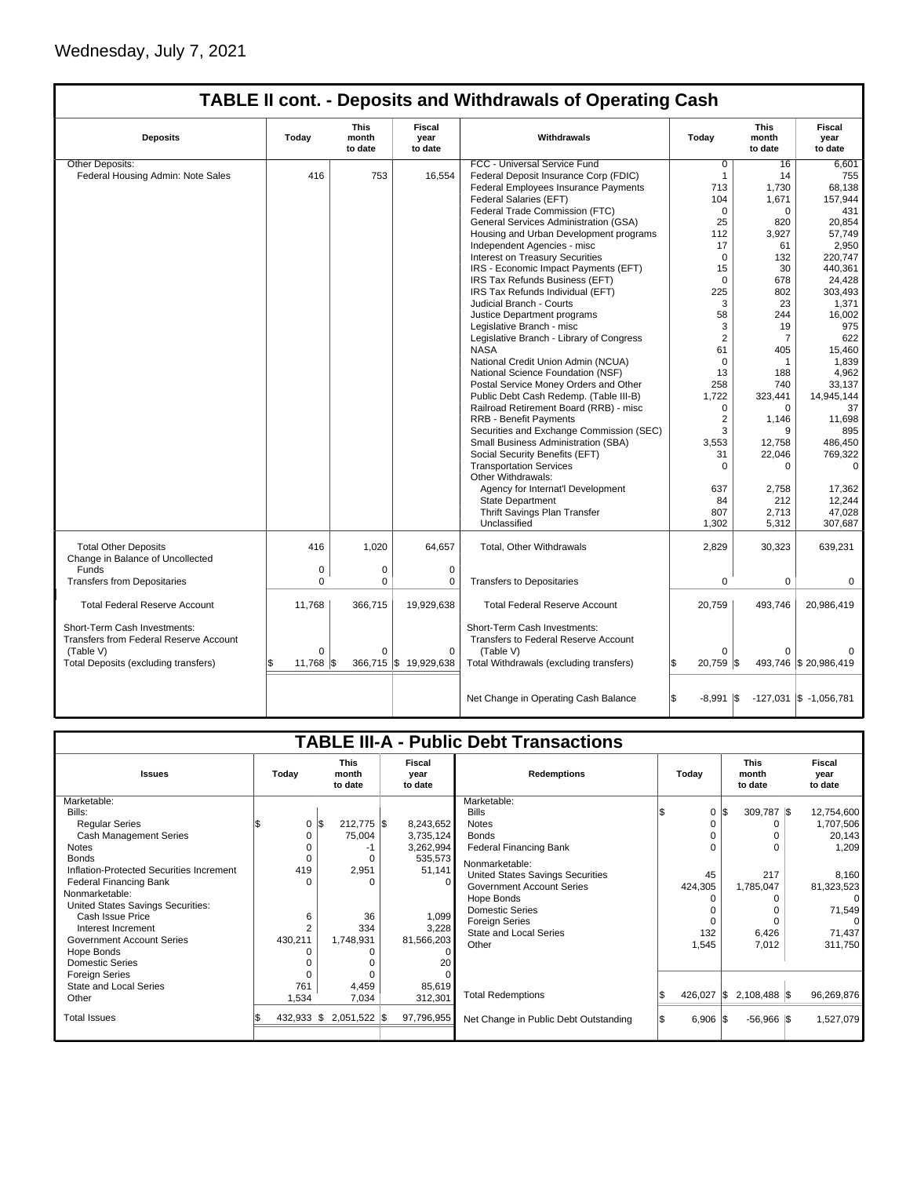I

# **TABLE II cont. - Deposits and Withdrawals of Operating Cash**

| <b>Deposits</b>                                                 | Todav        | <b>This</b><br>month<br>to date | Fiscal<br>year<br>to date | Withdrawals                                 | Today               | <b>This</b><br>month<br>to date | Fiscal<br>vear<br>to date  |
|-----------------------------------------------------------------|--------------|---------------------------------|---------------------------|---------------------------------------------|---------------------|---------------------------------|----------------------------|
| Other Deposits:                                                 |              |                                 |                           | FCC - Universal Service Fund                | $\overline{0}$      | 16                              | 6,601                      |
| Federal Housing Admin: Note Sales                               | 416          | 753                             | 16,554                    | Federal Deposit Insurance Corp (FDIC)       | $\mathbf{1}$        | 14                              | 755                        |
|                                                                 |              |                                 |                           | Federal Employees Insurance Payments        | 713                 | 1.730                           | 68,138                     |
|                                                                 |              |                                 |                           | Federal Salaries (EFT)                      | 104                 | 1,671                           | 157,944                    |
|                                                                 |              |                                 |                           | Federal Trade Commission (FTC)              | $\Omega$            | $\Omega$                        | 431                        |
|                                                                 |              |                                 |                           | General Services Administration (GSA)       | 25                  | 820                             | 20.854                     |
|                                                                 |              |                                 |                           | Housing and Urban Development programs      | 112                 | 3,927                           | 57,749                     |
|                                                                 |              |                                 |                           | Independent Agencies - misc                 | 17                  | 61                              | 2,950                      |
|                                                                 |              |                                 |                           | <b>Interest on Treasury Securities</b>      | $\mathbf 0$         | 132                             | 220,747                    |
|                                                                 |              |                                 |                           | IRS - Economic Impact Payments (EFT)        | 15                  | 30                              | 440,361                    |
|                                                                 |              |                                 |                           | IRS Tax Refunds Business (EFT)              | $\mathbf 0$         | 678                             | 24,428                     |
|                                                                 |              |                                 |                           | IRS Tax Refunds Individual (EFT)            | 225                 | 802                             | 303,493                    |
|                                                                 |              |                                 |                           | Judicial Branch - Courts                    | 3                   | 23                              | 1,371                      |
|                                                                 |              |                                 |                           | Justice Department programs                 | 58                  | 244                             | 16.002                     |
|                                                                 |              |                                 |                           | Legislative Branch - misc                   | 3                   | 19                              | 975                        |
|                                                                 |              |                                 |                           | Legislative Branch - Library of Congress    | $\overline{2}$      | $\overline{7}$                  | 622                        |
|                                                                 |              |                                 |                           | <b>NASA</b>                                 | 61                  | 405                             | 15,460                     |
|                                                                 |              |                                 |                           | National Credit Union Admin (NCUA)          | $\mathbf 0$         | $\mathbf{1}$                    | 1,839                      |
|                                                                 |              |                                 |                           | National Science Foundation (NSF)           | 13                  | 188                             | 4,962                      |
|                                                                 |              |                                 |                           | Postal Service Money Orders and Other       | 258                 | 740                             | 33,137                     |
|                                                                 |              |                                 |                           | Public Debt Cash Redemp. (Table III-B)      | 1,722               | 323,441                         | 14,945,144                 |
|                                                                 |              |                                 |                           | Railroad Retirement Board (RRB) - misc      | 0                   | $\mathbf 0$                     | 37                         |
|                                                                 |              |                                 |                           | <b>RRB - Benefit Payments</b>               | $\overline{2}$      | 1,146                           | 11,698                     |
|                                                                 |              |                                 |                           | Securities and Exchange Commission (SEC)    | 3                   | 9                               | 895                        |
|                                                                 |              |                                 |                           | Small Business Administration (SBA)         | 3,553               | 12,758                          | 486,450                    |
|                                                                 |              |                                 |                           | Social Security Benefits (EFT)              | 31                  | 22,046                          | 769,322                    |
|                                                                 |              |                                 |                           | <b>Transportation Services</b>              | $\Omega$            | $\Omega$                        | $\Omega$                   |
|                                                                 |              |                                 |                           | Other Withdrawals:                          |                     |                                 |                            |
|                                                                 |              |                                 |                           | Agency for Internat'l Development           | 637                 | 2,758                           | 17,362                     |
|                                                                 |              |                                 |                           | <b>State Department</b>                     | 84                  | 212                             | 12,244                     |
|                                                                 |              |                                 |                           | Thrift Savings Plan Transfer                | 807                 | 2,713                           | 47,028                     |
|                                                                 |              |                                 |                           | Unclassified                                | 1,302               | 5,312                           | 307.687                    |
|                                                                 |              |                                 |                           |                                             |                     |                                 |                            |
| <b>Total Other Deposits</b><br>Change in Balance of Uncollected | 416          | 1.020                           | 64.657                    | Total, Other Withdrawals                    | 2,829               | 30,323                          | 639,231                    |
| Funds                                                           | $\mathbf 0$  | $\mathbf 0$                     | $\mathbf 0$               |                                             |                     |                                 |                            |
| <b>Transfers from Depositaries</b>                              | $\Omega$     | $\Omega$                        | $\mathbf 0$               | <b>Transfers to Depositaries</b>            | 0                   | $\mathbf 0$                     | 0                          |
| <b>Total Federal Reserve Account</b>                            | 11,768       | 366,715                         | 19,929,638                | <b>Total Federal Reserve Account</b>        | 20,759              | 493,746                         | 20,986,419                 |
| Short-Term Cash Investments:                                    |              |                                 |                           | Short-Term Cash Investments:                |                     |                                 |                            |
| Transfers from Federal Reserve Account                          |              |                                 |                           | <b>Transfers to Federal Reserve Account</b> |                     |                                 |                            |
| (Table V)                                                       | $\Omega$     | $\Omega$                        | $\Omega$                  | (Table V)                                   | $\Omega$            | $\Omega$                        | $\Omega$                   |
| Total Deposits (excluding transfers)                            | 11,768<br>\$ | l\$                             | 366,715 \$ 19,929,638     | Total Withdrawals (excluding transfers)     | 20,759 \$           |                                 | 493,746 \$20,986,419       |
|                                                                 |              |                                 |                           | Net Change in Operating Cash Balance        | $-8,991$ $\sqrt{5}$ |                                 | $-127,031$ \$ $-1,056,781$ |

| <b>TABLE III-A - Public Debt Transactions</b> |                                 |                                                                     |                                        |                                                                                                                                                                                                                                                                                                                                                               |                                 |                                                                                                                  |  |  |  |
|-----------------------------------------------|---------------------------------|---------------------------------------------------------------------|----------------------------------------|---------------------------------------------------------------------------------------------------------------------------------------------------------------------------------------------------------------------------------------------------------------------------------------------------------------------------------------------------------------|---------------------------------|------------------------------------------------------------------------------------------------------------------|--|--|--|
| Today                                         | <b>This</b><br>month<br>to date | Fiscal<br>year<br>to date                                           | <b>Redemptions</b>                     | Todav                                                                                                                                                                                                                                                                                                                                                         | <b>This</b><br>month<br>to date | Fiscal<br>year<br>to date                                                                                        |  |  |  |
|                                               |                                 |                                                                     | Marketable:                            |                                                                                                                                                                                                                                                                                                                                                               |                                 |                                                                                                                  |  |  |  |
|                                               |                                 |                                                                     |                                        |                                                                                                                                                                                                                                                                                                                                                               |                                 | 12,754,600                                                                                                       |  |  |  |
|                                               | l\$                             |                                                                     |                                        |                                                                                                                                                                                                                                                                                                                                                               |                                 | 1,707,506                                                                                                        |  |  |  |
|                                               |                                 |                                                                     | <b>Bonds</b>                           |                                                                                                                                                                                                                                                                                                                                                               | 0                               | 20,143                                                                                                           |  |  |  |
|                                               | -1                              |                                                                     | <b>Federal Financing Bank</b>          |                                                                                                                                                                                                                                                                                                                                                               |                                 | 1,209                                                                                                            |  |  |  |
| U                                             | $\Omega$                        |                                                                     |                                        |                                                                                                                                                                                                                                                                                                                                                               |                                 |                                                                                                                  |  |  |  |
|                                               | 2,951                           |                                                                     |                                        |                                                                                                                                                                                                                                                                                                                                                               |                                 | 8,160                                                                                                            |  |  |  |
| n                                             | $\Omega$                        | $\Omega$                                                            |                                        |                                                                                                                                                                                                                                                                                                                                                               |                                 | 81,323,523                                                                                                       |  |  |  |
|                                               |                                 |                                                                     |                                        |                                                                                                                                                                                                                                                                                                                                                               |                                 | $\Omega$                                                                                                         |  |  |  |
|                                               |                                 |                                                                     |                                        |                                                                                                                                                                                                                                                                                                                                                               |                                 | 71,549                                                                                                           |  |  |  |
|                                               |                                 |                                                                     |                                        |                                                                                                                                                                                                                                                                                                                                                               |                                 | $\Omega$                                                                                                         |  |  |  |
|                                               |                                 |                                                                     |                                        |                                                                                                                                                                                                                                                                                                                                                               |                                 | 71,437                                                                                                           |  |  |  |
| 430,211                                       | 1,748,931                       |                                                                     |                                        |                                                                                                                                                                                                                                                                                                                                                               |                                 | 311,750                                                                                                          |  |  |  |
|                                               | O                               |                                                                     |                                        |                                                                                                                                                                                                                                                                                                                                                               |                                 |                                                                                                                  |  |  |  |
|                                               |                                 |                                                                     |                                        |                                                                                                                                                                                                                                                                                                                                                               |                                 |                                                                                                                  |  |  |  |
| ŋ                                             | $\Omega$                        |                                                                     |                                        |                                                                                                                                                                                                                                                                                                                                                               |                                 |                                                                                                                  |  |  |  |
| 761                                           | 4,459                           | 85,619                                                              |                                        |                                                                                                                                                                                                                                                                                                                                                               |                                 |                                                                                                                  |  |  |  |
|                                               | 7,034                           | 312,301                                                             |                                        |                                                                                                                                                                                                                                                                                                                                                               |                                 | 96,269,876                                                                                                       |  |  |  |
|                                               |                                 |                                                                     | Net Change in Public Debt Outstanding  |                                                                                                                                                                                                                                                                                                                                                               | $-56,966$ \$                    | 1,527,079                                                                                                        |  |  |  |
|                                               |                                 | 0<br>75,004<br>0<br>419<br>36<br>6<br>334<br>1,534<br>$432,933$ \\$ | $212,775$ \$<br>51,141<br>2,051,522 \$ | <b>Bills</b><br><b>Notes</b><br>8,243,652<br>3,735,124<br>3,262,994<br>535,573<br>Nonmarketable:<br>United States Savings Securities<br><b>Government Account Series</b><br>Hope Bonds<br><b>Domestic Series</b><br>1,099<br><b>Foreign Series</b><br>3,228<br><b>State and Local Series</b><br>81,566,203<br>Other<br><b>Total Redemptions</b><br>97,796,955 | $\Omega$<br>45<br>132<br>1,545  | l\$<br>309,787 \$<br>217<br>424,305<br>1,785,047<br>6,426<br>7,012<br>$426,027$ \$<br>2,108,488 \$<br>$6,906$ \$ |  |  |  |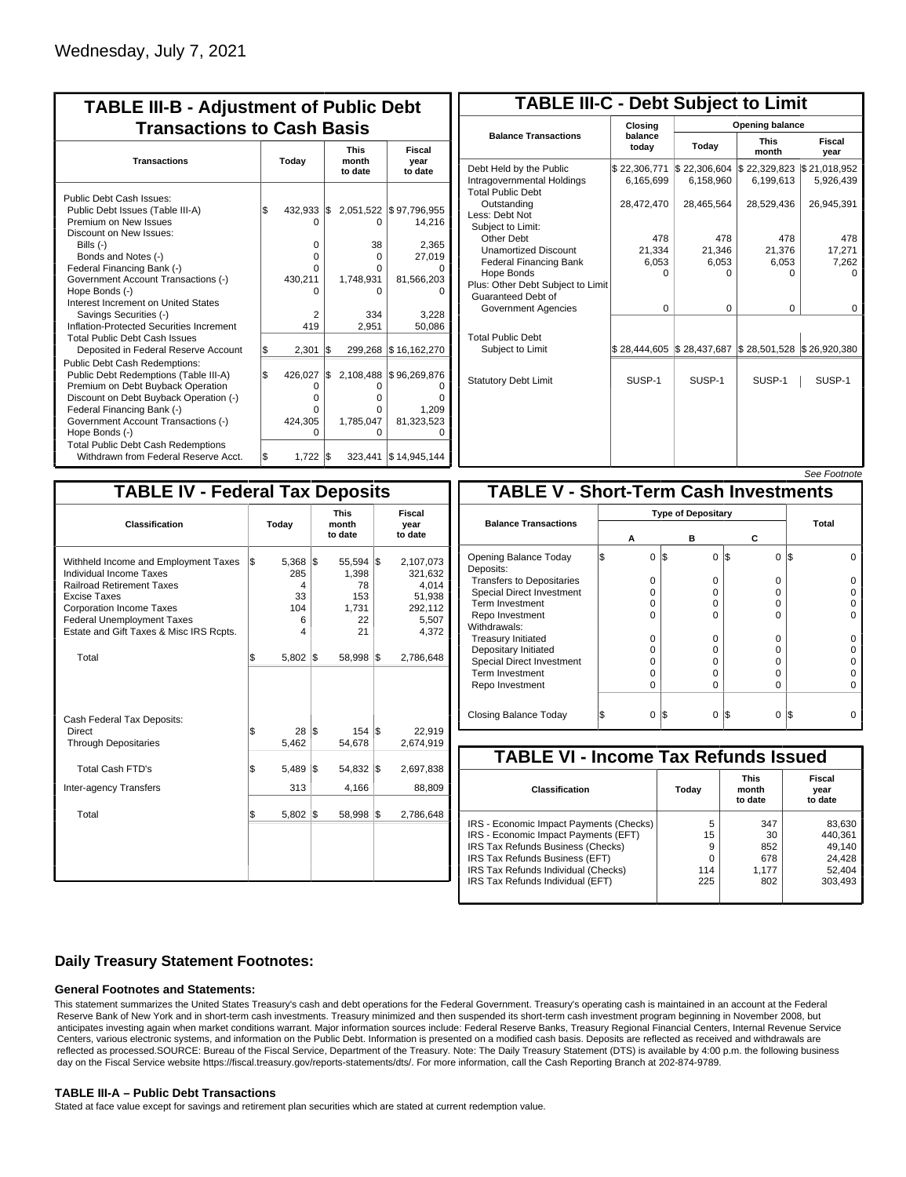| <b>TABLE III-B - Adjustment of Public Debt</b><br><b>Transactions to Cash Basis</b>                                                                                                                                                                                                                                                                                              |           |                                                                   |            |                                                            |                                                                                      |  |  |  |  |                                 |                           |
|----------------------------------------------------------------------------------------------------------------------------------------------------------------------------------------------------------------------------------------------------------------------------------------------------------------------------------------------------------------------------------|-----------|-------------------------------------------------------------------|------------|------------------------------------------------------------|--------------------------------------------------------------------------------------|--|--|--|--|---------------------------------|---------------------------|
| <b>Transactions</b>                                                                                                                                                                                                                                                                                                                                                              |           | Today                                                             |            |                                                            |                                                                                      |  |  |  |  | <b>This</b><br>month<br>to date | Fiscal<br>year<br>to date |
| Public Debt Cash Issues:<br>Public Debt Issues (Table III-A)<br>Premium on New Issues<br>Discount on New Issues:<br>Bills (-)<br>Bonds and Notes (-)<br>Federal Financing Bank (-)<br>Government Account Transactions (-)<br>Hope Bonds (-)<br>Interest Increment on United States<br>Savings Securities (-)<br>Inflation-Protected Securities Increment                         | l\$       | 432,933 \$<br>O<br>$\Omega$<br>U<br>O<br>430,211<br>n<br>2<br>419 |            | 0<br>38<br>$\Omega$<br>O<br>1,748,931<br>n<br>334<br>2.951 | 2,051,522 \$97,796,955<br>14,216<br>2,365<br>27,019<br>81,566,203<br>3,228<br>50,086 |  |  |  |  |                                 |                           |
| <b>Total Public Debt Cash Issues</b><br>Deposited in Federal Reserve Account<br><b>Public Debt Cash Redemptions:</b><br>Public Debt Redemptions (Table III-A)<br>Premium on Debt Buyback Operation<br>Discount on Debt Buyback Operation (-)<br>Federal Financing Bank (-)<br>Government Account Transactions (-)<br>Hope Bonds (-)<br><b>Total Public Debt Cash Redemptions</b> | \$<br>l\$ | 2,301<br>426,027<br>0<br>o<br>0<br>424,305<br>ი                   | l\$<br>I\$ | 2,108,488<br>0<br>o<br>o<br>1,785,047<br>ი                 | 299,268 \$16,162,270<br>\$96,269,876<br>1,209<br>81,323,523                          |  |  |  |  |                                 |                           |

| <b>TABLE III-C - Debt Subject to Limit</b>                                        |                           |                           |                           |                           |  |  |  |  |
|-----------------------------------------------------------------------------------|---------------------------|---------------------------|---------------------------|---------------------------|--|--|--|--|
|                                                                                   | Closing                   |                           | <b>Opening balance</b>    |                           |  |  |  |  |
| <b>Balance Transactions</b>                                                       | balance<br>today          | Today                     | <b>This</b><br>month      | Fiscal<br>year            |  |  |  |  |
| Debt Held by the Public<br>Intragovernmental Holdings<br><b>Total Public Debt</b> | \$22,306,771<br>6,165,699 | \$22,306,604<br>6,158,960 | \$22,329,823<br>6,199,613 | \$21,018,952<br>5,926,439 |  |  |  |  |
| Outstanding<br>Less: Debt Not<br>Subject to Limit:                                | 28,472,470                | 28,465,564                | 28,529,436                | 26,945,391                |  |  |  |  |
| Other Debt                                                                        | 478                       | 478                       | 478                       | 478                       |  |  |  |  |
| <b>Unamortized Discount</b>                                                       | 21.334                    | 21.346                    | 21,376                    | 17,271                    |  |  |  |  |
| <b>Federal Financing Bank</b>                                                     | 6,053                     | 6,053                     | 6,053                     | 7,262                     |  |  |  |  |
| Hope Bonds                                                                        | O                         | O                         | n                         | n                         |  |  |  |  |
| Plus: Other Debt Subject to Limit<br>Guaranteed Debt of                           |                           |                           |                           |                           |  |  |  |  |
| Government Agencies                                                               | $\Omega$                  | $\Omega$                  | $\Omega$                  | 0                         |  |  |  |  |
| <b>Total Public Debt</b><br>Subject to Limit                                      | \$28,444,605              | \$28,437,687              | \$28,501,528              | \$26,920,380              |  |  |  |  |
|                                                                                   |                           |                           |                           |                           |  |  |  |  |
| <b>Statutory Debt Limit</b>                                                       | SUSP-1                    | SUSP-1                    | SUSP-1                    | SUSP-1                    |  |  |  |  |
|                                                                                   |                           |                           |                           |                           |  |  |  |  |

| See Footnot |  |
|-------------|--|

| <b>TABLE IV - Federal Tax Deposits</b>                                                                                                                                                                                                        |                                                      |                                                        |                                                                      |  |  |  |  |
|-----------------------------------------------------------------------------------------------------------------------------------------------------------------------------------------------------------------------------------------------|------------------------------------------------------|--------------------------------------------------------|----------------------------------------------------------------------|--|--|--|--|
| Classification                                                                                                                                                                                                                                | Today                                                | <b>This</b><br>month<br>to date                        | <b>Fiscal</b><br>year<br>to date                                     |  |  |  |  |
| Withheld Income and Employment Taxes<br>Individual Income Taxes<br><b>Railroad Retirement Taxes</b><br><b>Excise Taxes</b><br><b>Corporation Income Taxes</b><br><b>Federal Unemployment Taxes</b><br>Estate and Gift Taxes & Misc IRS Rcpts. | l\$<br>$5,368$ \$<br>285<br>4<br>33<br>104<br>6<br>4 | $55,594$ \$<br>1,398<br>78<br>153<br>1,731<br>22<br>21 | 2,107,073<br>321,632<br>4,014<br>51,938<br>292,112<br>5,507<br>4,372 |  |  |  |  |
| Total                                                                                                                                                                                                                                         | \$<br>5,802                                          | 1\$<br>58,998                                          | l\$<br>2,786,648                                                     |  |  |  |  |
| Cash Federal Tax Deposits:<br>Direct<br><b>Through Depositaries</b>                                                                                                                                                                           | \$<br>$28$ $\sqrt{5}$<br>5,462                       | $154$ $\overline{\text{s}}$<br>54,678                  | 22,919<br>2,674,919                                                  |  |  |  |  |
| <b>Total Cash FTD's</b><br><b>Inter-agency Transfers</b>                                                                                                                                                                                      | \$<br>5,489<br>313                                   | 1\$<br>54,832<br>4,166                                 | 1\$<br>2,697,838<br>88,809                                           |  |  |  |  |
| Total                                                                                                                                                                                                                                         | \$<br>5,802                                          | 1\$<br>58,998                                          | 1\$<br>2,786,648                                                     |  |  |  |  |
|                                                                                                                                                                                                                                               |                                                      |                                                        |                                                                      |  |  |  |  |

|                                              |   |                           |     |          |          | טעט ו טעווענע |   |  |
|----------------------------------------------|---|---------------------------|-----|----------|----------|---------------|---|--|
| <b>TABLE V - Short-Term Cash Investments</b> |   |                           |     |          |          |               |   |  |
|                                              |   | <b>Type of Depositary</b> |     |          |          |               |   |  |
| <b>Balance Transactions</b>                  |   |                           |     |          |          | Total         |   |  |
|                                              | А |                           |     | в        | С        |               |   |  |
| Opening Balance Today<br>Deposits:           | S | 0                         | l\$ | 0        | 0<br>I\$ | IS            |   |  |
| <b>Transfers to Depositaries</b>             |   | O                         |     | $\Omega$ | O        |               |   |  |
| <b>Special Direct Investment</b>             |   | O                         |     | 0        | 0        |               |   |  |
| Term Investment                              |   | O                         |     | 0        | 0        |               |   |  |
| Repo Investment                              |   | O                         |     | $\Omega$ | O        |               |   |  |
| Withdrawals:                                 |   |                           |     |          |          |               |   |  |
| <b>Treasury Initiated</b>                    |   | O                         |     | $\Omega$ | O        |               |   |  |
| Depositary Initiated                         |   | O                         |     | 0        | 0        |               |   |  |
| <b>Special Direct Investment</b>             |   | O                         |     | $\Omega$ | 0        |               |   |  |
| <b>Term Investment</b>                       |   | O                         |     | $\Omega$ | 0        |               |   |  |
| Repo Investment                              |   | $\Omega$                  |     | $\Omega$ | 0        |               | O |  |
|                                              |   |                           |     |          |          |               |   |  |
| Closing Balance Today                        |   | $\Omega$                  | I\$ | 0        | I\$<br>0 | IS            |   |  |

| <b>TABLE VI - Income Tax Refunds Issued</b> |       |                                 |                           |  |  |  |  |  |
|---------------------------------------------|-------|---------------------------------|---------------------------|--|--|--|--|--|
| <b>Classification</b>                       | Todav | <b>This</b><br>month<br>to date | Fiscal<br>year<br>to date |  |  |  |  |  |
| IRS - Economic Impact Payments (Checks)     | 5     | 347                             | 83,630                    |  |  |  |  |  |
| IRS - Economic Impact Payments (EFT)        | 15    | 30                              | 440.361                   |  |  |  |  |  |
| IRS Tax Refunds Business (Checks)           | 9     | 852                             | 49,140                    |  |  |  |  |  |
| IRS Tax Refunds Business (EFT)              | 0     | 678                             | 24,428                    |  |  |  |  |  |
| IRS Tax Refunds Individual (Checks)         | 114   | 1.177                           | 52,404                    |  |  |  |  |  |
| IRS Tax Refunds Individual (EFT)            | 225   | 802                             | 303,493                   |  |  |  |  |  |

## **Daily Treasury Statement Footnotes:**

### **General Footnotes and Statements:**

This statement summarizes the United States Treasury's cash and debt operations for the Federal Government. Treasury's operating cash is maintained in an account at the Federal Reserve Bank of New York and in short-term cash investments. Treasury minimized and then suspended its short-term cash investment program beginning in November 2008, but anticipates investing again when market conditions warrant. Major information sources include: Federal Reserve Banks, Treasury Regional Financial Centers, Internal Revenue Service Centers, various electronic systems, and information on the Public Debt. Information is presented on a modified cash basis. Deposits are reflected as received and withdrawals are reflected as processed.SOURCE: Bureau of the Fiscal Service, Department of the Treasury. Note: The Daily Treasury Statement (DTS) is available by 4:00 p.m. the following business day on the Fiscal Service website https://fiscal.treasury.gov/reports-statements/dts/. For more information, call the Cash Reporting Branch at 202-874-9789.

### **TABLE III-A – Public Debt Transactions**

Stated at face value except for savings and retirement plan securities which are stated at current redemption value.